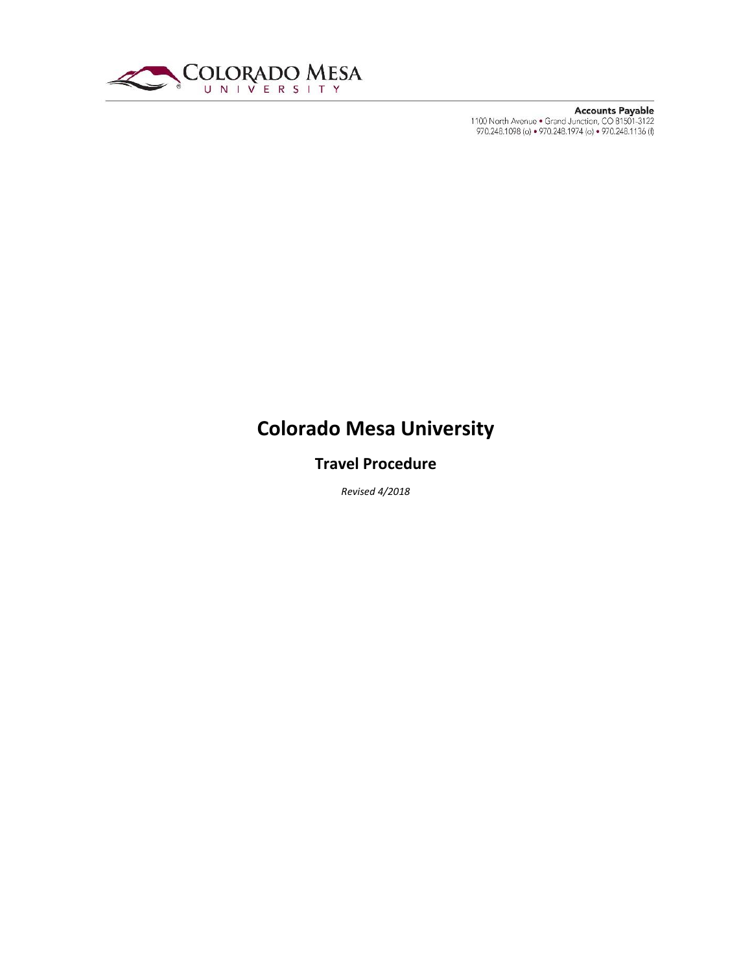

# **Colorado Mesa University**

## **Travel Procedure**

*Revised 4/2018*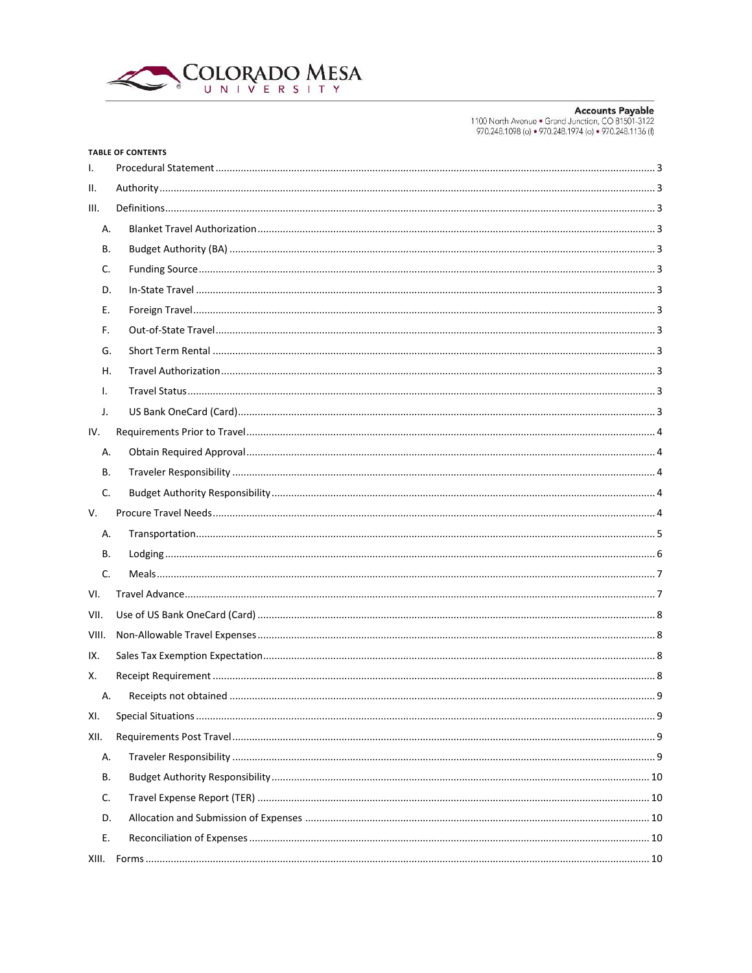

|       | <b>TABLE OF CONTENTS</b> |  |  |  |  |  |
|-------|--------------------------|--|--|--|--|--|
| I.    |                          |  |  |  |  |  |
| н.    |                          |  |  |  |  |  |
| III.  |                          |  |  |  |  |  |
| Α.    |                          |  |  |  |  |  |
| В.    |                          |  |  |  |  |  |
| C.    |                          |  |  |  |  |  |
| D.    |                          |  |  |  |  |  |
| Е.    |                          |  |  |  |  |  |
| F.    |                          |  |  |  |  |  |
| G.    |                          |  |  |  |  |  |
| Н.    |                          |  |  |  |  |  |
| ı.    |                          |  |  |  |  |  |
| J.    |                          |  |  |  |  |  |
| IV.   |                          |  |  |  |  |  |
| Α.    |                          |  |  |  |  |  |
| В.    |                          |  |  |  |  |  |
| C.    |                          |  |  |  |  |  |
| V.    |                          |  |  |  |  |  |
| А.    |                          |  |  |  |  |  |
| В.    |                          |  |  |  |  |  |
| C.    |                          |  |  |  |  |  |
| VI.   |                          |  |  |  |  |  |
| VII.  |                          |  |  |  |  |  |
| VIII. |                          |  |  |  |  |  |
| IX.   |                          |  |  |  |  |  |
| Х.    |                          |  |  |  |  |  |
| A.    | 9                        |  |  |  |  |  |
| XI.   |                          |  |  |  |  |  |
| XII.  |                          |  |  |  |  |  |
| А.    |                          |  |  |  |  |  |
| В.    |                          |  |  |  |  |  |
| C.    |                          |  |  |  |  |  |
| D.    |                          |  |  |  |  |  |
| Е.    |                          |  |  |  |  |  |
| XIII. |                          |  |  |  |  |  |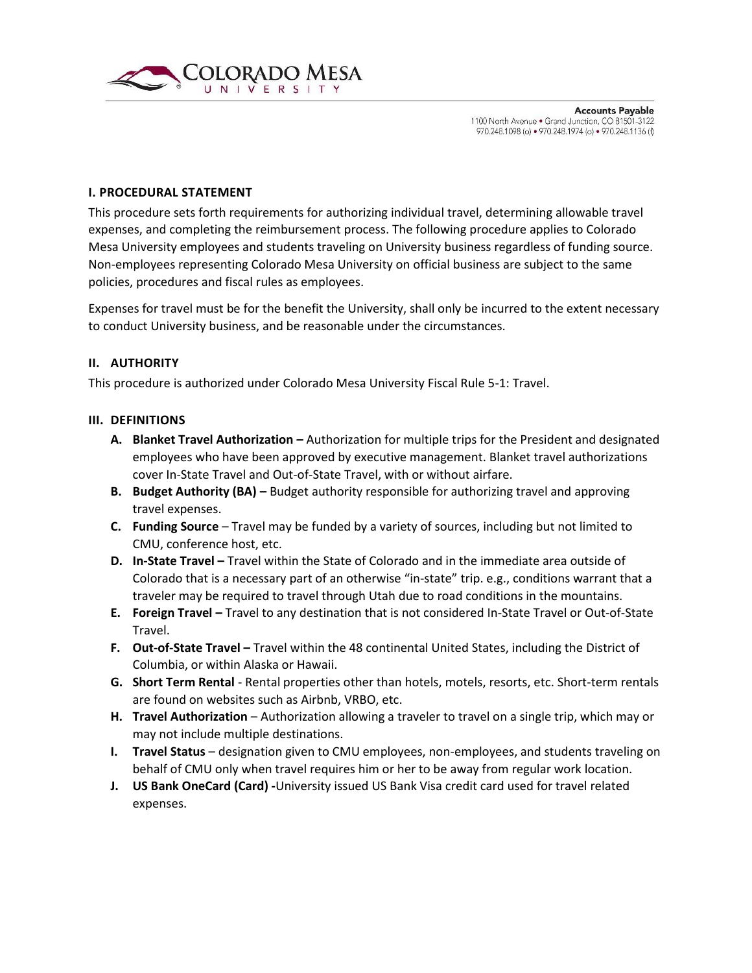

#### <span id="page-2-0"></span>**I. PROCEDURAL STATEMENT**

This procedure sets forth requirements for authorizing individual travel, determining allowable travel expenses, and completing the reimbursement process. The following procedure applies to Colorado Mesa University employees and students traveling on University business regardless of funding source. Non-employees representing Colorado Mesa University on official business are subject to the same policies, procedures and fiscal rules as employees.

Expenses for travel must be for the benefit the University, shall only be incurred to the extent necessary to conduct University business, and be reasonable under the circumstances.

#### <span id="page-2-1"></span>**II. AUTHORITY**

This procedure is authorized under Colorado Mesa University Fiscal Rule 5-1: Travel.

#### <span id="page-2-3"></span><span id="page-2-2"></span>**III. DEFINITIONS**

- **A. Blanket Travel Authorization** *–* Authorization for multiple trips for the President and designated employees who have been approved by executive management. Blanket travel authorizations cover In-State Travel and Out-of-State Travel, with or without airfare.
- <span id="page-2-4"></span>**B. Budget Authority (BA) –** Budget authority responsible for authorizing travel and approving travel expenses.
- <span id="page-2-5"></span>**C. Funding Source** – Travel may be funded by a variety of sources, including but not limited to CMU, conference host, etc.
- <span id="page-2-6"></span>**D. In-State Travel –** Travel within the State of Colorado and in the immediate area outside of Colorado that is a necessary part of an otherwise "in-state" trip. e.g., conditions warrant that a traveler may be required to travel through Utah due to road conditions in the mountains.
- <span id="page-2-7"></span>**E. Foreign Travel –** Travel to any destination that is not considered In-State Travel or Out-of-State Travel.
- <span id="page-2-8"></span>**F. Out-of-State Travel –** Travel within the 48 continental United States, including the District of Columbia, or within Alaska or Hawaii.
- <span id="page-2-9"></span>**G. Short Term Rental** - Rental properties other than hotels, motels, resorts, etc. Short-term rentals are found on websites such as Airbnb, VRBO, etc.
- <span id="page-2-10"></span>**H. Travel Authorization** – Authorization allowing a traveler to travel on a single trip, which may or may not include multiple destinations.
- <span id="page-2-11"></span>**I. Travel Status** – designation given to CMU employees, non-employees, and students traveling on behalf of CMU only when travel requires him or her to be away from regular work location.
- <span id="page-2-12"></span>**J. US Bank OneCard (Card) -**University issued US Bank Visa credit card used for travel related expenses.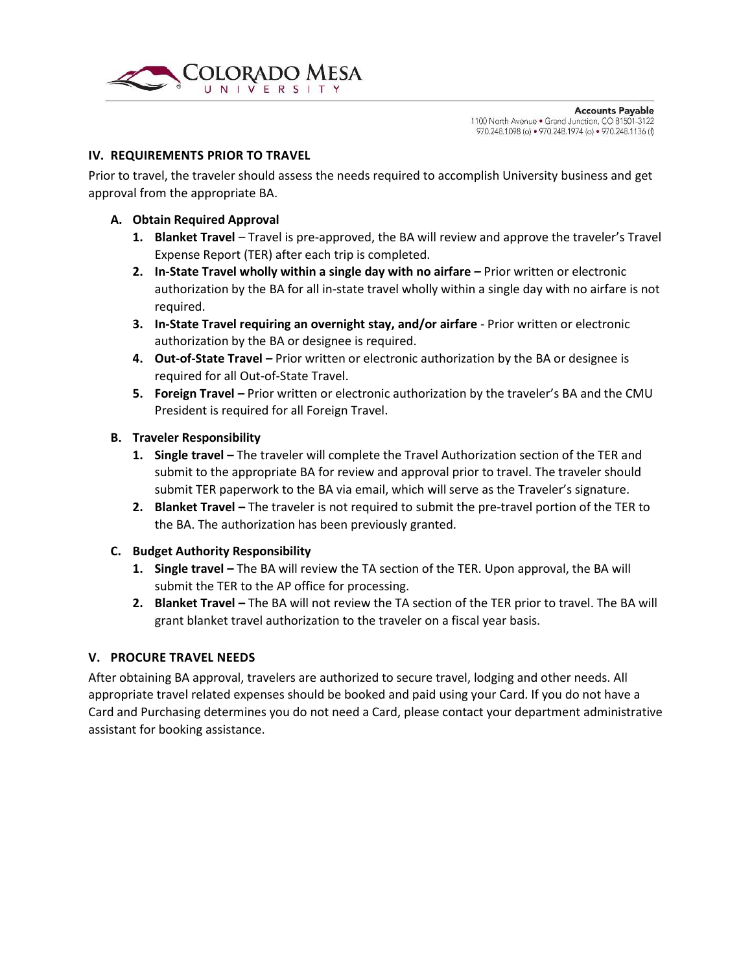

#### <span id="page-3-0"></span>**IV. REQUIREMENTS PRIOR TO TRAVEL**

Prior to travel, the traveler should assess the needs required to accomplish University business and get approval from the appropriate BA.

#### <span id="page-3-1"></span>**A. Obtain Required Approval**

- **1. Blanket Travel** *–* Travel is pre-approved, the BA will review and approve the traveler's Travel Expense Report (TER) after each trip is completed.
- **2. In-State Travel wholly within a single day with no airfare** *–* Prior written or electronic authorization by the BA for all in-state travel wholly within a single day with no airfare is not required.
- **3. In-State Travel requiring an overnight stay, and/or airfare** *-* Prior written or electronic authorization by the BA or designee is required.
- **4. Out-of-State Travel** *–* Prior written or electronic authorization by the BA or designee is required for all Out-of-State Travel.
- **5. Foreign Travel** *–* Prior written or electronic authorization by the traveler's BA and the CMU President is required for all Foreign Travel.

#### <span id="page-3-2"></span>**B. Traveler Responsibility**

- **1. Single travel –** The traveler will complete the Travel Authorization section of the TER and submit to the appropriate BA for review and approval prior to travel. The traveler should submit TER paperwork to the BA via email, which will serve as the Traveler's signature.
- **2. Blanket Travel –** The traveler is not required to submit the pre-travel portion of the TER to the BA. The authorization has been previously granted.

### <span id="page-3-3"></span>**C. Budget Authority Responsibility**

- **1. Single travel –** The BA will review the TA section of the TER. Upon approval, the BA will submit the TER to the AP office for processing.
- **2. Blanket Travel –** The BA will not review the TA section of the TER prior to travel. The BA will grant blanket travel authorization to the traveler on a fiscal year basis.

#### <span id="page-3-4"></span>**V. PROCURE TRAVEL NEEDS**

After obtaining BA approval, travelers are authorized to secure travel, lodging and other needs. All appropriate travel related expenses should be booked and paid using your Card. If you do not have a Card and Purchasing determines you do not need a Card, please contact your department administrative assistant for booking assistance.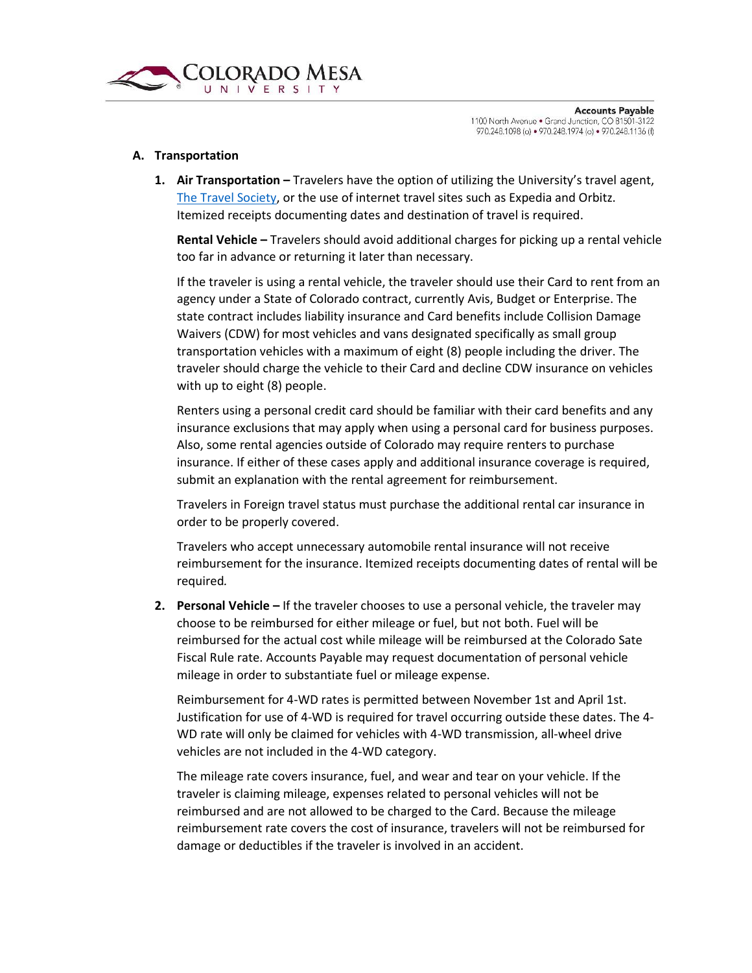

#### <span id="page-4-0"></span>**A. Transportation**

**1. Air Transportation –** Travelers have the option of utilizing the University's travel agent, [The Travel Society,](http://travelsociety.com/) or the use of internet travel sites such as Expedia and Orbitz. Itemized receipts documenting dates and destination of travel is required.

**Rental Vehicle –** Travelers should avoid additional charges for picking up a rental vehicle too far in advance or returning it later than necessary.

If the traveler is using a rental vehicle, the traveler should use their Card to rent from an agency under a State of Colorado contract, currently Avis, Budget or Enterprise. The state contract includes liability insurance and Card benefits include Collision Damage Waivers (CDW) for most vehicles and vans designated specifically as small group transportation vehicles with a maximum of eight (8) people including the driver. The traveler should charge the vehicle to their Card and decline CDW insurance on vehicles with up to eight (8) people.

Renters using a personal credit card should be familiar with their card benefits and any insurance exclusions that may apply when using a personal card for business purposes. Also, some rental agencies outside of Colorado may require renters to purchase insurance. If either of these cases apply and additional insurance coverage is required, submit an explanation with the rental agreement for reimbursement.

Travelers in Foreign travel status must purchase the additional rental car insurance in order to be properly covered.

Travelers who accept unnecessary automobile rental insurance will not receive reimbursement for the insurance. Itemized receipts documenting dates of rental will be required*.*

**2. Personal Vehicle –** If the traveler chooses to use a personal vehicle, the traveler may choose to be reimbursed for either mileage or fuel, but not both. Fuel will be reimbursed for the actual cost while mileage will be reimbursed at the Colorado Sate Fiscal Rule rate. Accounts Payable may request documentation of personal vehicle mileage in order to substantiate fuel or mileage expense.

Reimbursement for 4-WD rates is permitted between November 1st and April 1st. Justification for use of 4-WD is required for travel occurring outside these dates. The 4- WD rate will only be claimed for vehicles with 4-WD transmission, all-wheel drive vehicles are not included in the 4-WD category.

The mileage rate covers insurance, fuel, and wear and tear on your vehicle. If the traveler is claiming mileage, expenses related to personal vehicles will not be reimbursed and are not allowed to be charged to the Card. Because the mileage reimbursement rate covers the cost of insurance, travelers will not be reimbursed for damage or deductibles if the traveler is involved in an accident.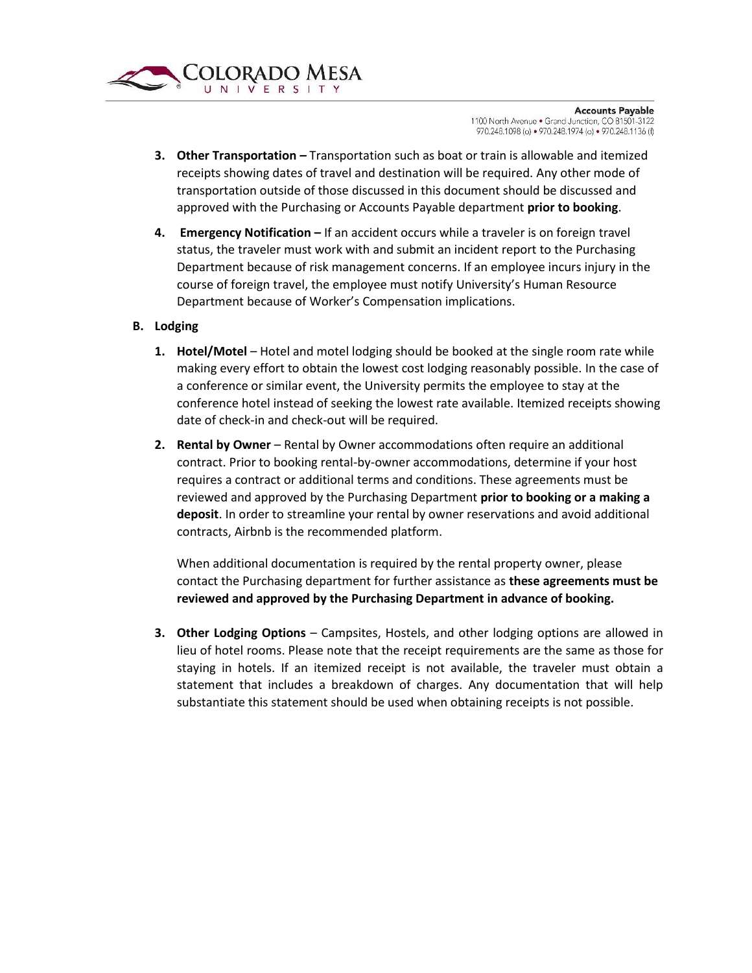

- **3. Other Transportation** *–* Transportation such as boat or train is allowable and itemized receipts showing dates of travel and destination will be required. Any other mode of transportation outside of those discussed in this document should be discussed and approved with the Purchasing or Accounts Payable department **prior to booking**.
- **4. Emergency Notification –** If an accident occurs while a traveler is on foreign travel status, the traveler must work with and submit an incident report to the Purchasing Department because of risk management concerns. If an employee incurs injury in the course of foreign travel, the employee must notify University's Human Resource Department because of Worker's Compensation implications.
- <span id="page-5-0"></span>**B. Lodging**
	- **1. Hotel/Motel** Hotel and motel lodging should be booked at the single room rate while making every effort to obtain the lowest cost lodging reasonably possible. In the case of a conference or similar event, the University permits the employee to stay at the conference hotel instead of seeking the lowest rate available. Itemized receipts showing date of check-in and check-out will be required.
	- **2. Rental by Owner** Rental by Owner accommodations often require an additional contract. Prior to booking rental-by-owner accommodations, determine if your host requires a contract or additional terms and conditions. These agreements must be reviewed and approved by the Purchasing Department **prior to booking or a making a deposit**. In order to streamline your rental by owner reservations and avoid additional contracts, Airbnb is the recommended platform.

When additional documentation is required by the rental property owner, please contact the Purchasing department for further assistance as **these agreements must be reviewed and approved by the Purchasing Department in advance of booking.**

**3. Other Lodging Options** – Campsites, Hostels, and other lodging options are allowed in lieu of hotel rooms. Please note that the receipt requirements are the same as those for staying in hotels. If an itemized receipt is not available, the traveler must obtain a statement that includes a breakdown of charges. Any documentation that will help substantiate this statement should be used when obtaining receipts is not possible.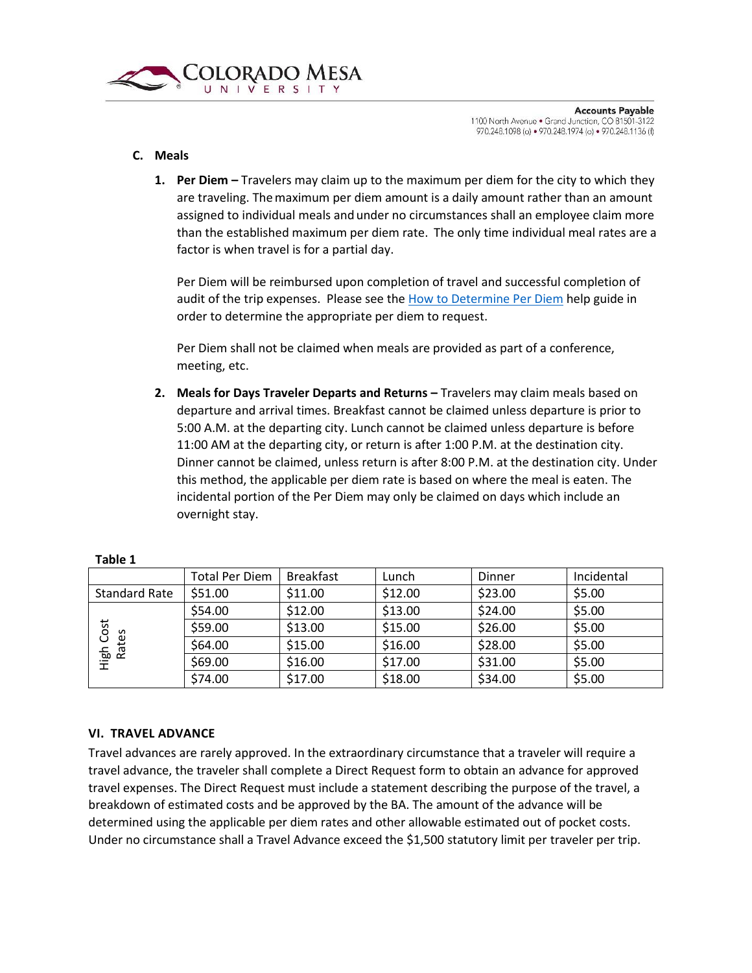

#### <span id="page-6-0"></span>**C. Meals**

**1. Per Diem –** Travelers may claim up to the maximum per diem for the city to which they are traveling. The maximum per diem amount is a daily amount rather than an amount assigned to individual meals andunder no circumstances shall an employee claim more than the established maximum per diem rate. The only time individual meal rates are a factor is when travel is for a partial day.

Per Diem will be reimbursed upon completion of travel and successful completion of audit of the trip expenses. Please see the [How to Determine Per Diem](file://///sharefs/DOSAPPS/Download/BusinessOfficeForms/Travel/HowDoIDeterminePerDiem-2018.pdf) help guide in order to determine the appropriate per diem to request.

Per Diem shall not be claimed when meals are provided as part of a conference, meeting, etc.

**2. Meals for Days Traveler Departs and Returns –** Travelers may claim meals based on departure and arrival times. Breakfast cannot be claimed unless departure is prior to 5:00 A.M. at the departing city. Lunch cannot be claimed unless departure is before 11:00 AM at the departing city, or return is after 1:00 P.M. at the destination city. Dinner cannot be claimed, unless return is after 8:00 P.M. at the destination city. Under this method, the applicable per diem rate is based on where the meal is eaten. The incidental portion of the Per Diem may only be claimed on days which include an overnight stay.

|                      | Total Per Diem | <b>Breakfast</b> | ∟unch   | Dinner  | Incidental |
|----------------------|----------------|------------------|---------|---------|------------|
| <b>Standard Rate</b> | \$51.00        | \$11.00          | \$12.00 | \$23.00 | \$5.00     |
|                      | \$54.00        | \$12.00          | \$13.00 | \$24.00 | \$5.00     |
| ost<br>S             | \$59.00        | \$13.00          | \$15.00 | \$26.00 | \$5.00     |
| ate<br>ပ             | \$64.00        | \$15.00          | \$16.00 | \$28.00 | \$5.00     |
| High<br>$\propto$    | \$69.00        | \$16.00          | \$17.00 | \$31.00 | \$5.00     |
|                      | \$74.00        | \$17.00          | \$18.00 | \$34.00 | \$5.00     |

#### **Table 1**

### <span id="page-6-1"></span>**VI. TRAVEL ADVANCE**

Travel advances are rarely approved. In the extraordinary circumstance that a traveler will require a travel advance, the traveler shall complete a Direct Request form to obtain an advance for approved travel expenses. The Direct Request must include a statement describing the purpose of the travel, a breakdown of estimated costs and be approved by the BA. The amount of the advance will be determined using the applicable per diem rates and other allowable estimated out of pocket costs. Under no circumstance shall a Travel Advance exceed the \$1,500 statutory limit per traveler per trip.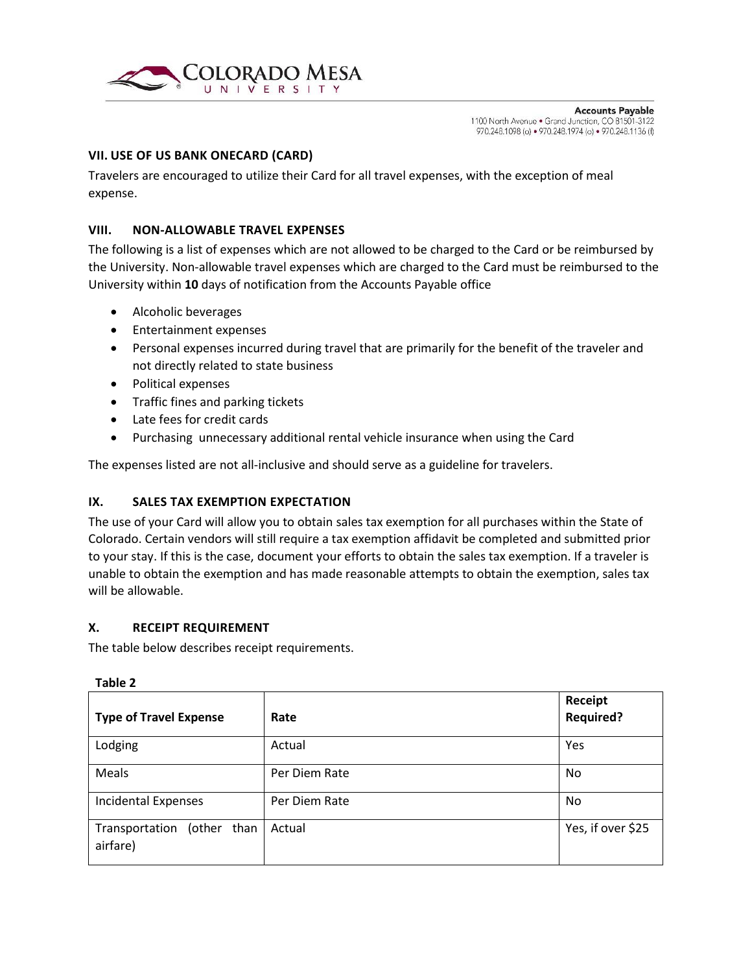

#### <span id="page-7-0"></span>**VII. USE OF US BANK ONECARD (CARD)**

Travelers are encouraged to utilize their Card for all travel expenses, with the exception of meal expense.

#### <span id="page-7-1"></span>**VIII. NON-ALLOWABLE TRAVEL EXPENSES**

The following is a list of expenses which are not allowed to be charged to the Card or be reimbursed by the University. Non-allowable travel expenses which are charged to the Card must be reimbursed to the University within **10** days of notification from the Accounts Payable office

- Alcoholic beverages
- **•** Entertainment expenses
- Personal expenses incurred during travel that are primarily for the benefit of the traveler and not directly related to state business
- Political expenses
- Traffic fines and parking tickets
- Late fees for credit cards
- Purchasing unnecessary additional rental vehicle insurance when using the Card

The expenses listed are not all-inclusive and should serve as a guideline for travelers.

#### <span id="page-7-2"></span>**IX. SALES TAX EXEMPTION EXPECTATION**

The use of your Card will allow you to obtain sales tax exemption for all purchases within the State of Colorado. Certain vendors will still require a tax exemption affidavit be completed and submitted prior to your stay. If this is the case, document your efforts to obtain the sales tax exemption. If a traveler is unable to obtain the exemption and has made reasonable attempts to obtain the exemption, sales tax will be allowable.

#### <span id="page-7-3"></span>**X. RECEIPT REQUIREMENT**

The table below describes receipt requirements.

| <b>Type of Travel Expense</b>             | Rate          | <b>Receipt</b><br><b>Required?</b> |
|-------------------------------------------|---------------|------------------------------------|
| Lodging                                   | Actual        | Yes                                |
| Meals                                     | Per Diem Rate | No                                 |
| <b>Incidental Expenses</b>                | Per Diem Rate | No                                 |
| Transportation<br>(other than<br>airfare) | Actual        | Yes, if over \$25                  |

#### **Table 2**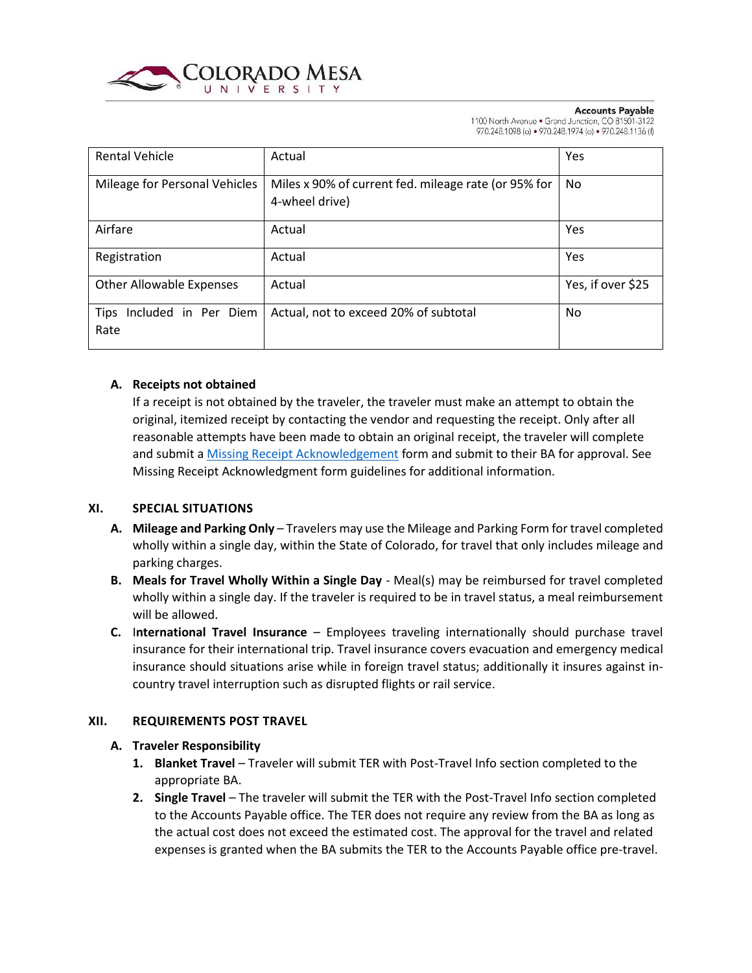

#### **Accounts Payable**

1100 North Avenue . Grand Junction, CO 81501-3122 970.248.1098 (o) · 970.248.1974 (o) · 970.248.1136 (f)

| <b>Rental Vehicle</b>                       | Actual                                                                 | Yes               |
|---------------------------------------------|------------------------------------------------------------------------|-------------------|
| Mileage for Personal Vehicles               | Miles x 90% of current fed. mileage rate (or 95% for<br>4-wheel drive) | No                |
| Airfare                                     | Actual                                                                 | Yes               |
| Registration                                | Actual                                                                 | Yes               |
| <b>Other Allowable Expenses</b>             | Actual                                                                 | Yes, if over \$25 |
| Included in Per Diem<br><b>Tips</b><br>Rate | Actual, not to exceed 20% of subtotal                                  | No.               |

#### <span id="page-8-0"></span>**A. Receipts not obtained**

If a receipt is not obtained by the traveler, the traveler must make an attempt to obtain the original, itemized receipt by contacting the vendor and requesting the receipt. Only after all reasonable attempts have been made to obtain an original receipt, the traveler will complete and submit [a Missing Receipt Acknowledgement](file://///sharefs/DOSAPPS/Download/BusinessOfficeForms/Travel/MissingReceiptAcknowledgementandApprovalForm.xlsx) form and submit to their BA for approval. See Missing Receipt Acknowledgment form guidelines for additional information.

#### <span id="page-8-1"></span>**XI. SPECIAL SITUATIONS**

- **A. Mileage and Parking Only** Travelers may use the Mileage and Parking Form for travel completed wholly within a single day, within the State of Colorado, for travel that only includes mileage and parking charges.
- **B. Meals for Travel Wholly Within a Single Day** Meal(s) may be reimbursed for travel completed wholly within a single day. If the traveler is required to be in travel status, a meal reimbursement will be allowed.
- **C.** I**nternational Travel Insurance**  Employees traveling internationally should purchase travel insurance for their international trip. Travel insurance covers evacuation and emergency medical insurance should situations arise while in foreign travel status; additionally it insures against incountry travel interruption such as disrupted flights or rail service.

### <span id="page-8-3"></span><span id="page-8-2"></span>**XII. REQUIREMENTS POST TRAVEL**

#### **A. Traveler Responsibility**

- **1. Blanket Travel** Traveler will submit TER with Post-Travel Info section completed to the appropriate BA.
- **2. Single Travel** The traveler will submit the TER with the Post-Travel Info section completed to the Accounts Payable office. The TER does not require any review from the BA as long as the actual cost does not exceed the estimated cost. The approval for the travel and related expenses is granted when the BA submits the TER to the Accounts Payable office pre-travel.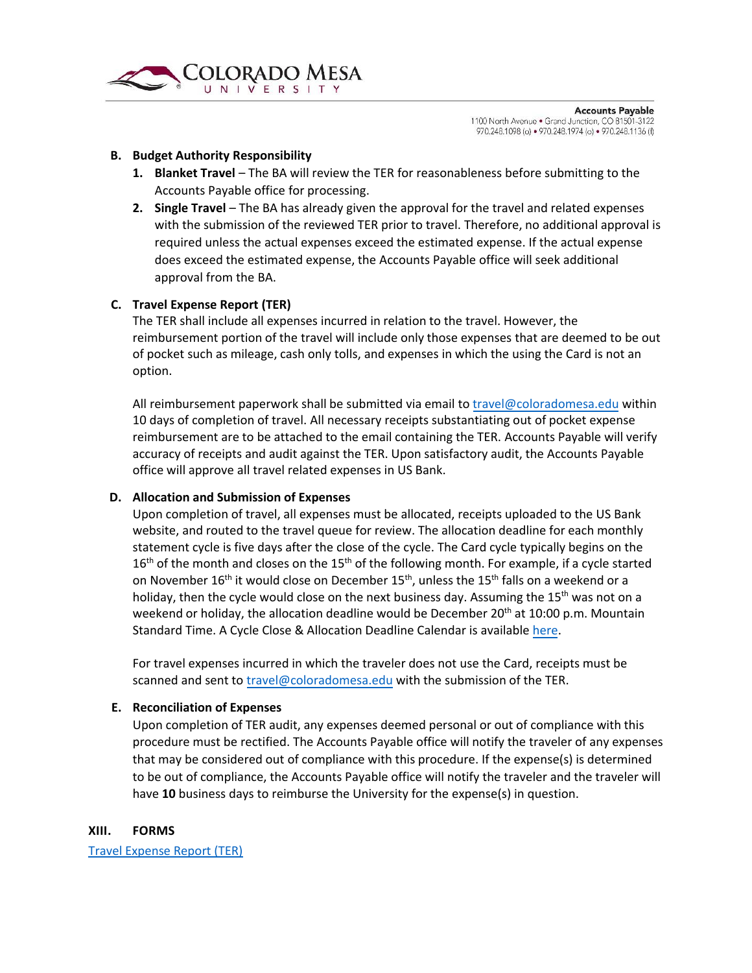

#### <span id="page-9-0"></span>**B. Budget Authority Responsibility**

- **1. Blanket Travel** The BA will review the TER for reasonableness before submitting to the Accounts Payable office for processing.
- **2. Single Travel** The BA has already given the approval for the travel and related expenses with the submission of the reviewed TER prior to travel. Therefore, no additional approval is required unless the actual expenses exceed the estimated expense. If the actual expense does exceed the estimated expense, the Accounts Payable office will seek additional approval from the BA.

#### <span id="page-9-1"></span>**C. Travel Expense Report (TER)**

The TER shall include all expenses incurred in relation to the travel. However, the reimbursement portion of the travel will include only those expenses that are deemed to be out of pocket such as mileage, cash only tolls, and expenses in which the using the Card is not an option.

All reimbursement paperwork shall be submitted via email t[o travel@coloradomesa.edu](mailto:travel@coloradomesa.edu) within 10 days of completion of travel. All necessary receipts substantiating out of pocket expense reimbursement are to be attached to the email containing the TER. Accounts Payable will verify accuracy of receipts and audit against the TER. Upon satisfactory audit, the Accounts Payable office will approve all travel related expenses in US Bank.

#### <span id="page-9-2"></span>**D. Allocation and Submission of Expenses**

Upon completion of travel, all expenses must be allocated, receipts uploaded to the US Bank website, and routed to the travel queue for review. The allocation deadline for each monthly statement cycle is five days after the close of the cycle. The Card cycle typically begins on the  $16<sup>th</sup>$  of the month and closes on the  $15<sup>th</sup>$  of the following month. For example, if a cycle started on November  $16<sup>th</sup>$  it would close on December  $15<sup>th</sup>$ , unless the  $15<sup>th</sup>$  falls on a weekend or a holiday, then the cycle would close on the next business day. Assuming the  $15<sup>th</sup>$  was not on a weekend or holiday, the allocation deadline would be December 20<sup>th</sup> at 10:00 p.m. Mountain Standard Time. A Cycle Close & Allocation Deadline Calendar is availabl[e here.](file://///sharefs/DOSAPPS/Download/BusinessOfficeForms/Travel/2018-calendar---cylce-close-dates.pdf)

For travel expenses incurred in which the traveler does not use the Card, receipts must be scanned and sent t[o travel@coloradomesa.edu](mailto:travel@coloradomesa.edu) with the submission of the TER.

#### <span id="page-9-3"></span>**E. Reconciliation of Expenses**

Upon completion of TER audit, any expenses deemed personal or out of compliance with this procedure must be rectified. The Accounts Payable office will notify the traveler of any expenses that may be considered out of compliance with this procedure. If the expense(s) is determined to be out of compliance, the Accounts Payable office will notify the traveler and the traveler will have **10** business days to reimburse the University for the expense(s) in question.

#### <span id="page-9-4"></span>**XIII. FORMS**

[Travel Expense Report \(TER\)](file://///sharefs/DOSAPPS/Download/BusinessOfficeForms/Travel/TravelExpenseReport-2018.xlsx)